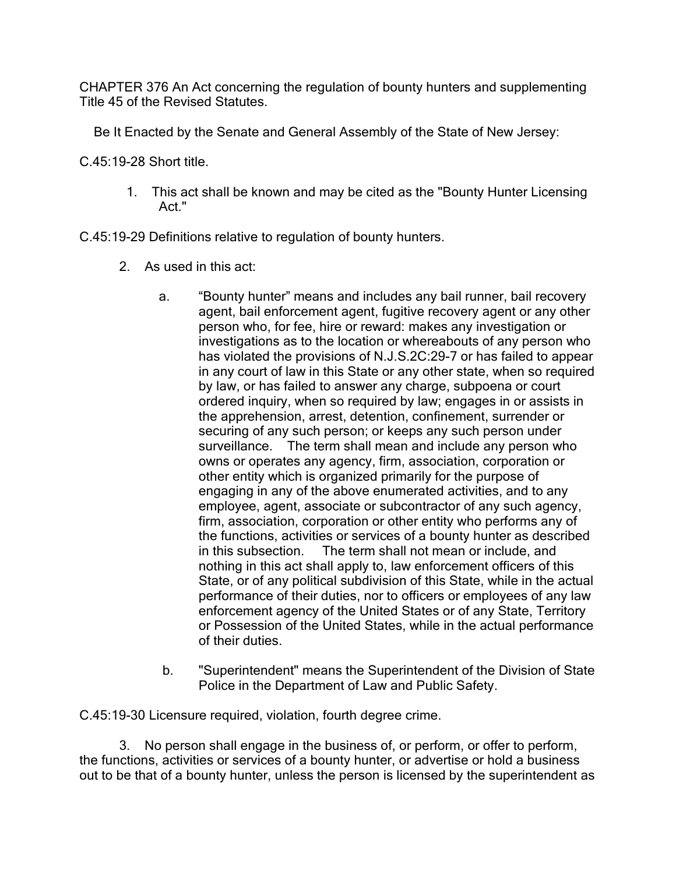CHAPTER 376 An Act concerning the regulation of bounty hunters and supplementing Title 45 of the Revised Statutes.

Be It Enacted by the Senate and General Assembly of the State of New Jersey:

C.45:19-28 Short title.

 1. This act shall be known and may be cited as the "Bounty Hunter Licensing Act."

C.45:19-29 Definitions relative to regulation of bounty hunters.

- 2. As used in this act:
	- a. "Bounty hunter" means and includes any bail runner, bail recovery agent, bail enforcement agent, fugitive recovery agent or any other person who, for fee, hire or reward: makes any investigation or investigations as to the location or whereabouts of any person who has violated the provisions of N.J.S.2C:29-7 or has failed to appear in any court of law in this State or any other state, when so required by law, or has failed to answer any charge, subpoena or court ordered inquiry, when so required by law; engages in or assists in the apprehension, arrest, detention, confinement, surrender or securing of any such person; or keeps any such person under surveillance. The term shall mean and include any person who owns or operates any agency, firm, association, corporation or other entity which is organized primarily for the purpose of engaging in any of the above enumerated activities, and to any employee, agent, associate or subcontractor of any such agency, firm, association, corporation or other entity who performs any of the functions, activities or services of a bounty hunter as described in this subsection. The term shall not mean or include, and nothing in this act shall apply to, law enforcement officers of this State, or of any political subdivision of this State, while in the actual performance of their duties, nor to officers or employees of any law enforcement agency of the United States or of any State, Territory or Possession of the United States, while in the actual performance of their duties.
	- b. "Superintendent" means the Superintendent of the Division of State Police in the Department of Law and Public Safety.

C.45:19-30 Licensure required, violation, fourth degree crime.

3. No person shall engage in the business of, or perform, or offer to perform, the functions, activities or services of a bounty hunter, or advertise or hold a business out to be that of a bounty hunter, unless the person is licensed by the superintendent as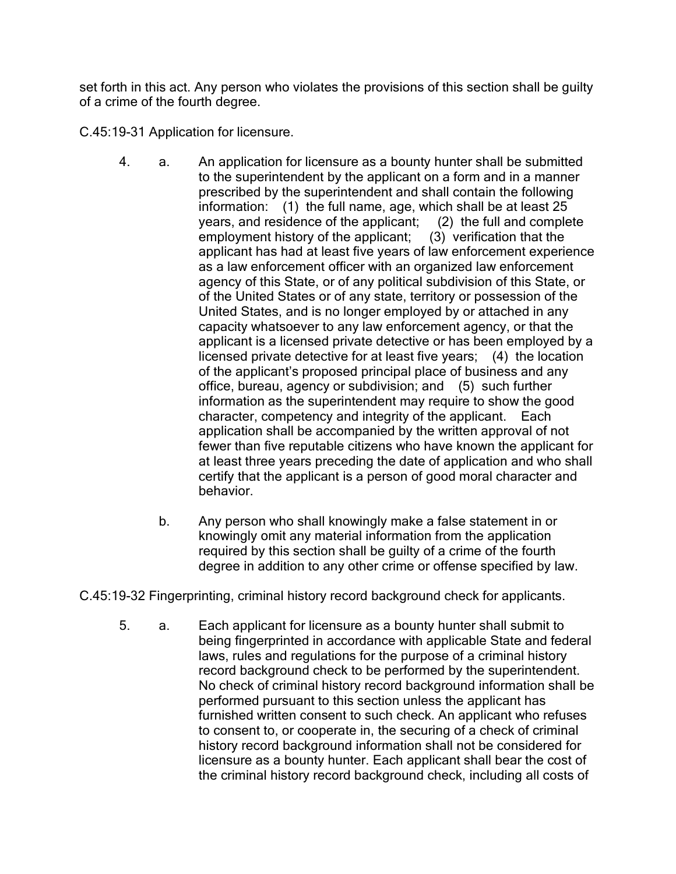set forth in this act. Any person who violates the provisions of this section shall be guilty of a crime of the fourth degree.

C.45:19-31 Application for licensure.

- 4. a. An application for licensure as a bounty hunter shall be submitted to the superintendent by the applicant on a form and in a manner prescribed by the superintendent and shall contain the following information: (1) the full name, age, which shall be at least 25 years, and residence of the applicant; (2) the full and complete employment history of the applicant; (3) verification that the applicant has had at least five years of law enforcement experience as a law enforcement officer with an organized law enforcement agency of this State, or of any political subdivision of this State, or of the United States or of any state, territory or possession of the United States, and is no longer employed by or attached in any capacity whatsoever to any law enforcement agency, or that the applicant is a licensed private detective or has been employed by a licensed private detective for at least five years; (4) the location of the applicant's proposed principal place of business and any office, bureau, agency or subdivision; and (5) such further information as the superintendent may require to show the good character, competency and integrity of the applicant. Each application shall be accompanied by the written approval of not fewer than five reputable citizens who have known the applicant for at least three years preceding the date of application and who shall certify that the applicant is a person of good moral character and behavior.
	- b. Any person who shall knowingly make a false statement in or knowingly omit any material information from the application required by this section shall be guilty of a crime of the fourth degree in addition to any other crime or offense specified by law.

C.45:19-32 Fingerprinting, criminal history record background check for applicants.

5. a. Each applicant for licensure as a bounty hunter shall submit to being fingerprinted in accordance with applicable State and federal laws, rules and regulations for the purpose of a criminal history record background check to be performed by the superintendent. No check of criminal history record background information shall be performed pursuant to this section unless the applicant has furnished written consent to such check. An applicant who refuses to consent to, or cooperate in, the securing of a check of criminal history record background information shall not be considered for licensure as a bounty hunter. Each applicant shall bear the cost of the criminal history record background check, including all costs of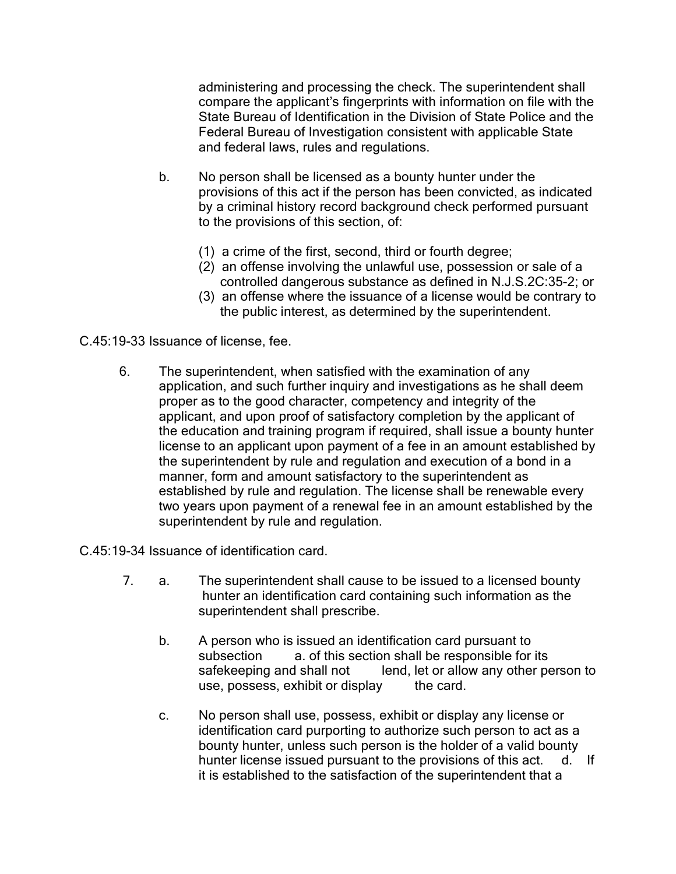administering and processing the check. The superintendent shall compare the applicant's fingerprints with information on file with the State Bureau of Identification in the Division of State Police and the Federal Bureau of Investigation consistent with applicable State and federal laws, rules and regulations.

- b. No person shall be licensed as a bounty hunter under the provisions of this act if the person has been convicted, as indicated by a criminal history record background check performed pursuant to the provisions of this section, of:
	- (1) a crime of the first, second, third or fourth degree;
	- (2) an offense involving the unlawful use, possession or sale of a controlled dangerous substance as defined in N.J.S.2C:35-2; or
	- (3) an offense where the issuance of a license would be contrary to the public interest, as determined by the superintendent.

C.45:19-33 Issuance of license, fee.

6. The superintendent, when satisfied with the examination of any application, and such further inquiry and investigations as he shall deem proper as to the good character, competency and integrity of the applicant, and upon proof of satisfactory completion by the applicant of the education and training program if required, shall issue a bounty hunter license to an applicant upon payment of a fee in an amount established by the superintendent by rule and regulation and execution of a bond in a manner, form and amount satisfactory to the superintendent as established by rule and regulation. The license shall be renewable every two years upon payment of a renewal fee in an amount established by the superintendent by rule and regulation.

C.45:19-34 Issuance of identification card.

- 7. a. The superintendent shall cause to be issued to a licensed bounty hunter an identification card containing such information as the superintendent shall prescribe.
	- b. A person who is issued an identification card pursuant to subsection a. of this section shall be responsible for its safekeeping and shall not lend, let or allow any other person to use, possess, exhibit or display the card.
	- c. No person shall use, possess, exhibit or display any license or identification card purporting to authorize such person to act as a bounty hunter, unless such person is the holder of a valid bounty hunter license issued pursuant to the provisions of this act. d. If it is established to the satisfaction of the superintendent that a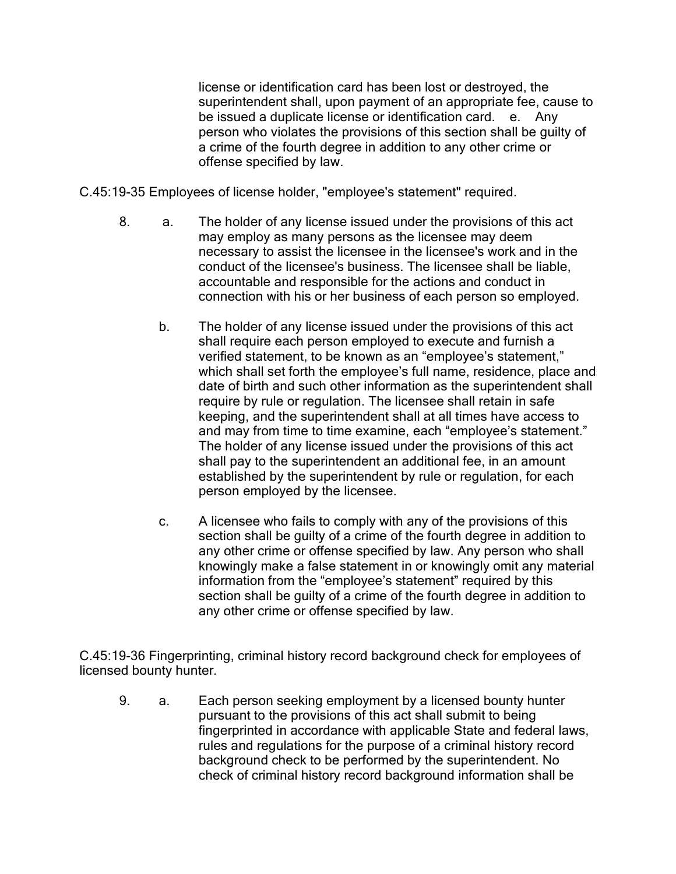license or identification card has been lost or destroyed, the superintendent shall, upon payment of an appropriate fee, cause to be issued a duplicate license or identification card. e. Any person who violates the provisions of this section shall be guilty of a crime of the fourth degree in addition to any other crime or offense specified by law.

C.45:19-35 Employees of license holder, "employee's statement" required.

- 8. a. The holder of any license issued under the provisions of this act may employ as many persons as the licensee may deem necessary to assist the licensee in the licensee's work and in the conduct of the licensee's business. The licensee shall be liable, accountable and responsible for the actions and conduct in connection with his or her business of each person so employed.
	- b. The holder of any license issued under the provisions of this act shall require each person employed to execute and furnish a verified statement, to be known as an "employee's statement," which shall set forth the employee's full name, residence, place and date of birth and such other information as the superintendent shall require by rule or regulation. The licensee shall retain in safe keeping, and the superintendent shall at all times have access to and may from time to time examine, each "employee's statement." The holder of any license issued under the provisions of this act shall pay to the superintendent an additional fee, in an amount established by the superintendent by rule or regulation, for each person employed by the licensee.
	- c. A licensee who fails to comply with any of the provisions of this section shall be guilty of a crime of the fourth degree in addition to any other crime or offense specified by law. Any person who shall knowingly make a false statement in or knowingly omit any material information from the "employee's statement" required by this section shall be guilty of a crime of the fourth degree in addition to any other crime or offense specified by law.

C.45:19-36 Fingerprinting, criminal history record background check for employees of licensed bounty hunter.

9. a. Each person seeking employment by a licensed bounty hunter pursuant to the provisions of this act shall submit to being fingerprinted in accordance with applicable State and federal laws, rules and regulations for the purpose of a criminal history record background check to be performed by the superintendent. No check of criminal history record background information shall be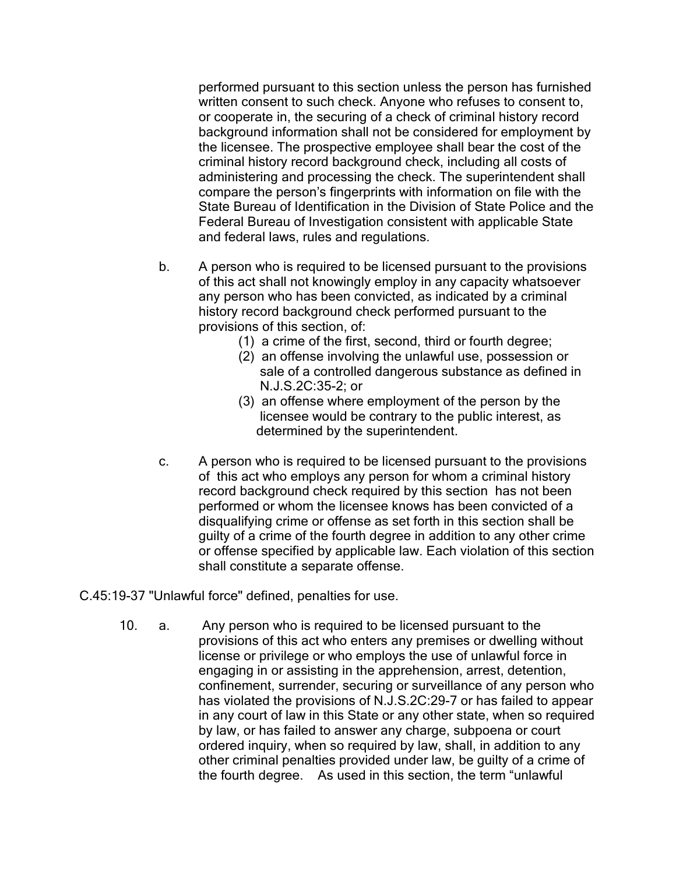performed pursuant to this section unless the person has furnished written consent to such check. Anyone who refuses to consent to, or cooperate in, the securing of a check of criminal history record background information shall not be considered for employment by the licensee. The prospective employee shall bear the cost of the criminal history record background check, including all costs of administering and processing the check. The superintendent shall compare the person's fingerprints with information on file with the State Bureau of Identification in the Division of State Police and the Federal Bureau of Investigation consistent with applicable State and federal laws, rules and regulations.

- b. A person who is required to be licensed pursuant to the provisions of this act shall not knowingly employ in any capacity whatsoever any person who has been convicted, as indicated by a criminal history record background check performed pursuant to the provisions of this section, of:
	- (1) a crime of the first, second, third or fourth degree;
	- (2) an offense involving the unlawful use, possession or sale of a controlled dangerous substance as defined in N.J.S.2C:35-2; or
	- (3) an offense where employment of the person by the licensee would be contrary to the public interest, as determined by the superintendent.
- c. A person who is required to be licensed pursuant to the provisions of this act who employs any person for whom a criminal history record background check required by this section has not been performed or whom the licensee knows has been convicted of a disqualifying crime or offense as set forth in this section shall be guilty of a crime of the fourth degree in addition to any other crime or offense specified by applicable law. Each violation of this section shall constitute a separate offense.

C.45:19-37 "Unlawful force" defined, penalties for use.

10. a. Any person who is required to be licensed pursuant to the provisions of this act who enters any premises or dwelling without license or privilege or who employs the use of unlawful force in engaging in or assisting in the apprehension, arrest, detention, confinement, surrender, securing or surveillance of any person who has violated the provisions of N.J.S.2C:29-7 or has failed to appear in any court of law in this State or any other state, when so required by law, or has failed to answer any charge, subpoena or court ordered inquiry, when so required by law, shall, in addition to any other criminal penalties provided under law, be guilty of a crime of the fourth degree. As used in this section, the term "unlawful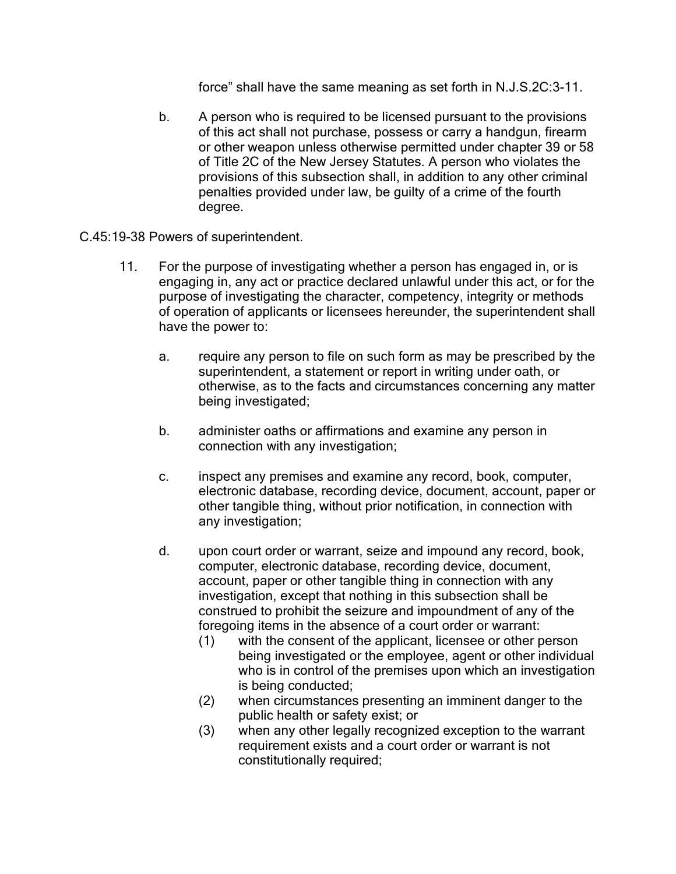force" shall have the same meaning as set forth in N.J.S.2C:3-11.

- b. A person who is required to be licensed pursuant to the provisions of this act shall not purchase, possess or carry a handgun, firearm or other weapon unless otherwise permitted under chapter 39 or 58 of Title 2C of the New Jersey Statutes. A person who violates the provisions of this subsection shall, in addition to any other criminal penalties provided under law, be guilty of a crime of the fourth degree.
- C.45:19-38 Powers of superintendent.
	- 11. For the purpose of investigating whether a person has engaged in, or is engaging in, any act or practice declared unlawful under this act, or for the purpose of investigating the character, competency, integrity or methods of operation of applicants or licensees hereunder, the superintendent shall have the power to:
		- a. require any person to file on such form as may be prescribed by the superintendent, a statement or report in writing under oath, or otherwise, as to the facts and circumstances concerning any matter being investigated;
		- b. administer oaths or affirmations and examine any person in connection with any investigation;
		- c. inspect any premises and examine any record, book, computer, electronic database, recording device, document, account, paper or other tangible thing, without prior notification, in connection with any investigation;
		- d. upon court order or warrant, seize and impound any record, book, computer, electronic database, recording device, document, account, paper or other tangible thing in connection with any investigation, except that nothing in this subsection shall be construed to prohibit the seizure and impoundment of any of the foregoing items in the absence of a court order or warrant:
			- (1) with the consent of the applicant, licensee or other person being investigated or the employee, agent or other individual who is in control of the premises upon which an investigation is being conducted;
			- (2) when circumstances presenting an imminent danger to the public health or safety exist; or
			- (3) when any other legally recognized exception to the warrant requirement exists and a court order or warrant is not constitutionally required;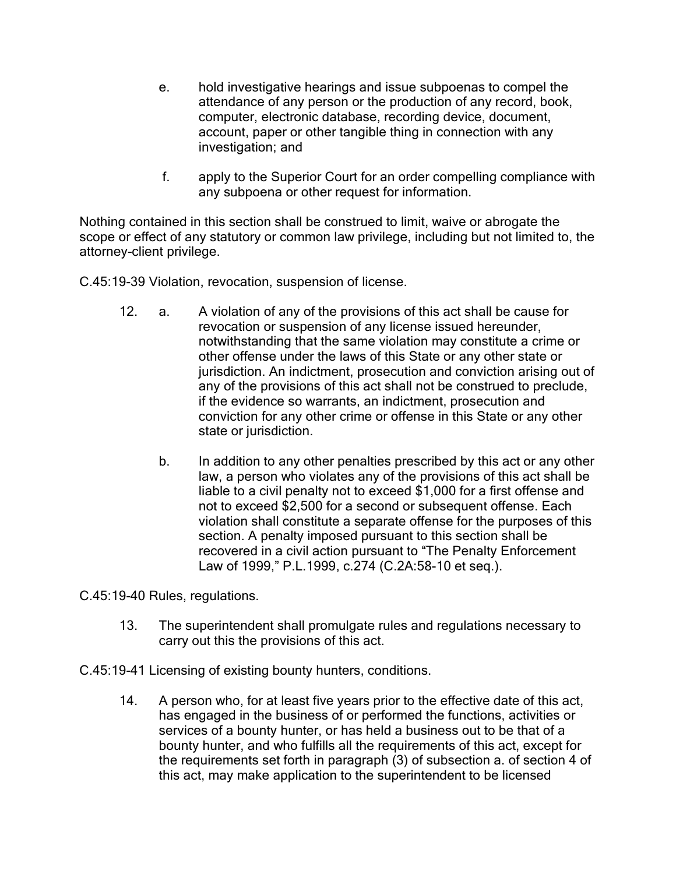- e. hold investigative hearings and issue subpoenas to compel the attendance of any person or the production of any record, book, computer, electronic database, recording device, document, account, paper or other tangible thing in connection with any investigation; and
- f. apply to the Superior Court for an order compelling compliance with any subpoena or other request for information.

Nothing contained in this section shall be construed to limit, waive or abrogate the scope or effect of any statutory or common law privilege, including but not limited to, the attorney-client privilege.

C.45:19-39 Violation, revocation, suspension of license.

- 12. a. A violation of any of the provisions of this act shall be cause for revocation or suspension of any license issued hereunder, notwithstanding that the same violation may constitute a crime or other offense under the laws of this State or any other state or jurisdiction. An indictment, prosecution and conviction arising out of any of the provisions of this act shall not be construed to preclude, if the evidence so warrants, an indictment, prosecution and conviction for any other crime or offense in this State or any other state or jurisdiction.
	- b. In addition to any other penalties prescribed by this act or any other law, a person who violates any of the provisions of this act shall be liable to a civil penalty not to exceed \$1,000 for a first offense and not to exceed \$2,500 for a second or subsequent offense. Each violation shall constitute a separate offense for the purposes of this section. A penalty imposed pursuant to this section shall be recovered in a civil action pursuant to "The Penalty Enforcement Law of 1999," P.L.1999, c.274 (C.2A:58-10 et seq.).

C.45:19-40 Rules, regulations.

- 13. The superintendent shall promulgate rules and regulations necessary to carry out this the provisions of this act.
- C.45:19-41 Licensing of existing bounty hunters, conditions.
	- 14. A person who, for at least five years prior to the effective date of this act, has engaged in the business of or performed the functions, activities or services of a bounty hunter, or has held a business out to be that of a bounty hunter, and who fulfills all the requirements of this act, except for the requirements set forth in paragraph (3) of subsection a. of section 4 of this act, may make application to the superintendent to be licensed